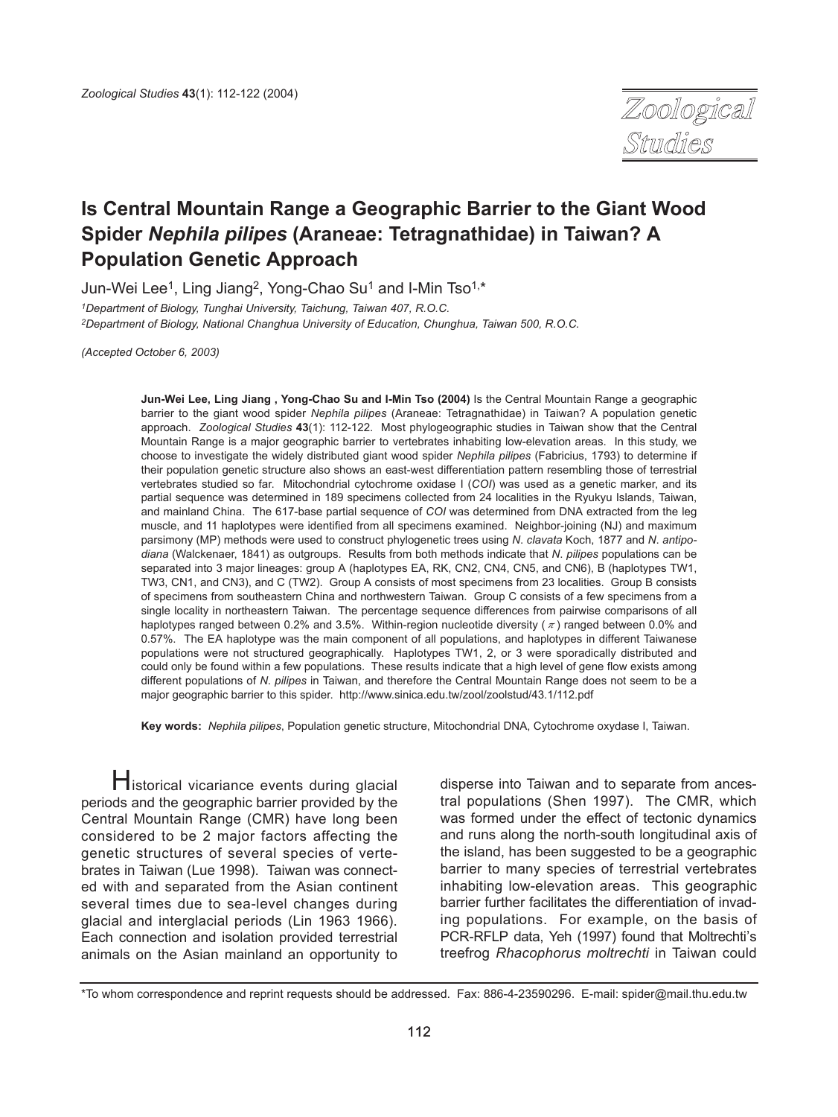Zoological Studies

# **Is Central Mountain Range a Geographic Barrier to the Giant Wood Spider** *Nephila pilipes* **(Araneae: Tetragnathidae) in Taiwan? A Population Genetic Approach**

Jun-Wei Lee<sup>1</sup>, Ling Jiang<sup>2</sup>, Yong-Chao Su<sup>1</sup> and I-Min Tso<sup>1,\*</sup>

*1Department of Biology, Tunghai University, Taichung, Taiwan 407, R.O.C. 2Department of Biology, National Changhua University of Education, Chunghua, Taiwan 500, R.O.C.*

*(Accepted October 6, 2003)*

**Jun-Wei Lee, Ling Jiang , Yong-Chao Su and I-Min Tso (2004)** Is the Central Mountain Range a geographic barrier to the giant wood spider *Nephila pilipes* (Araneae: Tetragnathidae) in Taiwan? A population genetic approach. *Zoological Studies* **43**(1): 112-122. Most phylogeographic studies in Taiwan show that the Central Mountain Range is a major geographic barrier to vertebrates inhabiting low-elevation areas. In this study, we choose to investigate the widely distributed giant wood spider *Nephila pilipes* (Fabricius, 1793) to determine if their population genetic structure also shows an east-west differentiation pattern resembling those of terrestrial vertebrates studied so far. Mitochondrial cytochrome oxidase I (*COI*) was used as a genetic marker, and its partial sequence was determined in 189 specimens collected from 24 localities in the Ryukyu Islands, Taiwan, and mainland China. The 617-base partial sequence of *COI* was determined from DNA extracted from the leg muscle, and 11 haplotypes were identified from all specimens examined. Neighbor-joining (NJ) and maximum parsimony (MP) methods were used to construct phylogenetic trees using *N*. *clavata* Koch, 1877 and *N*. *antipodiana* (Walckenaer, 1841) as outgroups. Results from both methods indicate that *N*. *pilipes* populations can be separated into 3 major lineages: group A (haplotypes EA, RK, CN2, CN4, CN5, and CN6), B (haplotypes TW1, TW3, CN1, and CN3), and C (TW2). Group A consists of most specimens from 23 localities. Group B consists of specimens from southeastern China and northwestern Taiwan. Group C consists of a few specimens from a single locality in northeastern Taiwan. The percentage sequence differences from pairwise comparisons of all haplotypes ranged between 0.2% and 3.5%. Within-region nucleotide diversity ( $\pi$ ) ranged between 0.0% and 0.57%. The EA haplotype was the main component of all populations, and haplotypes in different Taiwanese populations were not structured geographically. Haplotypes TW1, 2, or 3 were sporadically distributed and could only be found within a few populations. These results indicate that a high level of gene flow exists among different populations of *N*. *pilipes* in Taiwan, and therefore the Central Mountain Range does not seem to be a major geographic barrier to this spider. http://www.sinica.edu.tw/zool/zoolstud/43.1/112.pdf

**Key words:** *Nephila pilipes*, Population genetic structure, Mitochondrial DNA, Cytochrome oxydase I, Taiwan.

Historical vicariance events during glacial periods and the geographic barrier provided by the Central Mountain Range (CMR) have long been considered to be 2 major factors affecting the genetic structures of several species of vertebrates in Taiwan (Lue 1998). Taiwan was connected with and separated from the Asian continent several times due to sea-level changes during glacial and interglacial periods (Lin 1963 1966). Each connection and isolation provided terrestrial animals on the Asian mainland an opportunity to

disperse into Taiwan and to separate from ancestral populations (Shen 1997). The CMR, which was formed under the effect of tectonic dynamics and runs along the north-south longitudinal axis of the island, has been suggested to be a geographic barrier to many species of terrestrial vertebrates inhabiting low-elevation areas. This geographic barrier further facilitates the differentiation of invading populations. For example, on the basis of my populations. The example, on the basis of<br>PCR-RFLP data, Yeh (1997) found that Moltrechti's treefrog *Rhacophorus moltrechti* in Taiwan could

<sup>\*</sup>To whom correspondence and reprint requests should be addressed. Fax: 886-4-23590296. E-mail: spider@mail.thu.edu.tw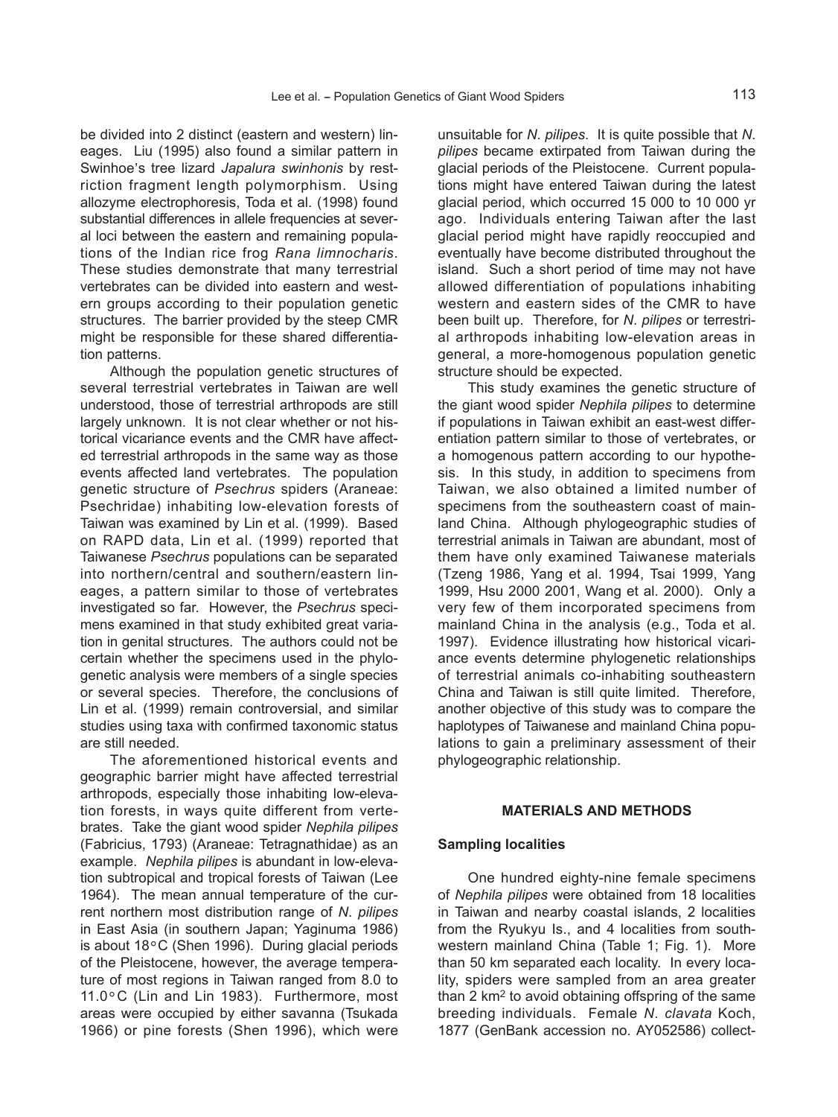be divided into 2 distinct (eastern and western) lineages. Liu (1995) also found a similar pattern in Swinhoe, s tree lizard *Japalura swinhonis* by restriction fragment length polymorphism. Using allozyme electrophoresis, Toda et al. (1998) found substantial differences in allele frequencies at several loci between the eastern and remaining populations of the Indian rice frog *Rana limnocharis*. These studies demonstrate that many terrestrial vertebrates can be divided into eastern and western groups according to their population genetic structures. The barrier provided by the steep CMR might be responsible for these shared differentiation patterns.

Although the population genetic structures of several terrestrial vertebrates in Taiwan are well understood, those of terrestrial arthropods are still largely unknown. It is not clear whether or not historical vicariance events and the CMR have affected terrestrial arthropods in the same way as those events affected land vertebrates. The population genetic structure of *Psechrus* spiders (Araneae: Psechridae) inhabiting low-elevation forests of Taiwan was examined by Lin et al. (1999). Based on RAPD data, Lin et al. (1999) reported that Taiwanese *Psechrus* populations can be separated into northern/central and southern/eastern lineages, a pattern similar to those of vertebrates investigated so far. However, the *Psechrus* specimens examined in that study exhibited great variation in genital structures. The authors could not be certain whether the specimens used in the phylogenetic analysis were members of a single species or several species. Therefore, the conclusions of Lin et al. (1999) remain controversial, and similar studies using taxa with confirmed taxonomic status are still needed.

The aforementioned historical events and geographic barrier might have affected terrestrial arthropods, especially those inhabiting low-elevation forests, in ways quite different from vertebrates. Take the giant wood spider *Nephila pilipes* (Fabricius, 1793) (Araneae: Tetragnathidae) as an example. *Nephila pilipes* is abundant in low-elevation subtropical and tropical forests of Taiwan (Lee 1964). The mean annual temperature of the current northern most distribution range of *N*. *pilipes* in East Asia (in southern Japan; Yaginuma 1986) is about 18°C (Shen 1996). During glacial periods of the Pleistocene, however, the average temperature of most regions in Taiwan ranged from 8.0 to 11.0°C (Lin and Lin 1983). Furthermore, most areas were occupied by either savanna (Tsukada 1966) or pine forests (Shen 1996), which were unsuitable for *N*. *pilipes*. It is quite possible that *N*. *pilipes* became extirpated from Taiwan during the glacial periods of the Pleistocene. Current populations might have entered Taiwan during the latest glacial period, which occurred 15 000 to 10 000 yr ago. Individuals entering Taiwan after the last glacial period might have rapidly reoccupied and eventually have become distributed throughout the island. Such a short period of time may not have allowed differentiation of populations inhabiting western and eastern sides of the CMR to have been built up. Therefore, for *N*. *pilipes* or terrestrial arthropods inhabiting low-elevation areas in general, a more-homogenous population genetic structure should be expected.

This study examines the genetic structure of the giant wood spider *Nephila pilipes* to determine if populations in Taiwan exhibit an east-west differentiation pattern similar to those of vertebrates, or a homogenous pattern according to our hypothesis. In this study, in addition to specimens from Taiwan, we also obtained a limited number of specimens from the southeastern coast of mainland China. Although phylogeographic studies of terrestrial animals in Taiwan are abundant, most of them have only examined Taiwanese materials (Tzeng 1986, Yang et al. 1994, Tsai 1999, Yang 1999, Hsu 2000 2001, Wang et al. 2000). Only a very few of them incorporated specimens from mainland China in the analysis (e.g., Toda et al. 1997). Evidence illustrating how historical vicariance events determine phylogenetic relationships of terrestrial animals co-inhabiting southeastern China and Taiwan is still quite limited. Therefore, another objective of this study was to compare the haplotypes of Taiwanese and mainland China populations to gain a preliminary assessment of their phylogeographic relationship.

# **MATERIALS AND METHODS**

#### **Sampling localities**

One hundred eighty-nine female specimens of *Nephila pilipes* were obtained from 18 localities in Taiwan and nearby coastal islands, 2 localities from the Ryukyu Is., and 4 localities from southwestern mainland China (Table 1; Fig. 1). More than 50 km separated each locality. In every locality, spiders were sampled from an area greater than 2 km2 to avoid obtaining offspring of the same breeding individuals. Female *N*. *clavata* Koch, 1877 (GenBank accession no. AY052586) collect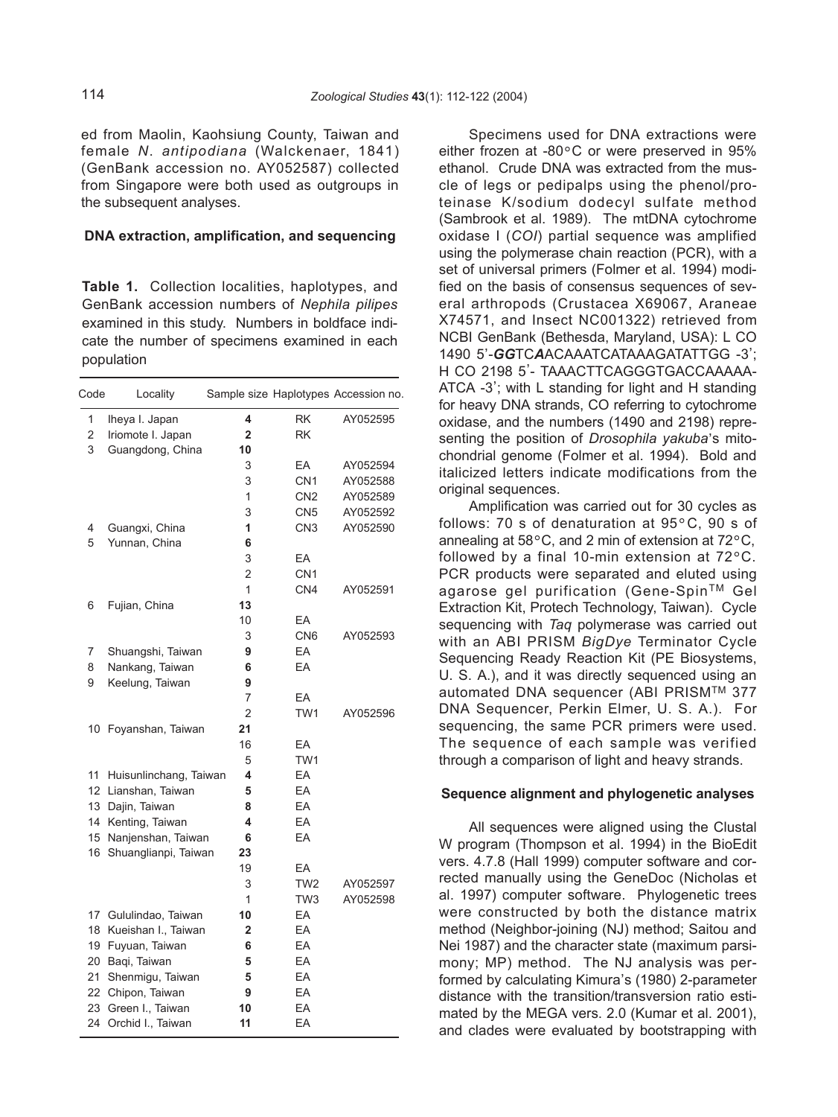ed from Maolin, Kaohsiung County, Taiwan and female *N*. *antipodiana* (Walckenaer, 1841) (GenBank accession no. AY052587) collected from Singapore were both used as outgroups in the subsequent analyses.

# **DNA extraction, amplification, and sequencing**

**Table 1.** Collection localities, haplotypes, and GenBank accession numbers of *Nephila pilipes* examined in this study. Numbers in boldface indicate the number of specimens examined in each population

| Code | Locality               |                |                 | Sample size Haplotypes Accession no. |
|------|------------------------|----------------|-----------------|--------------------------------------|
| 1    | Iheya I. Japan         | 4              | <b>RK</b>       | AY052595                             |
| 2    | Iriomote I. Japan      | $\overline{2}$ | <b>RK</b>       |                                      |
| 3    | Guangdong, China       | 10             |                 |                                      |
|      |                        | 3              | EA              | AY052594                             |
|      |                        | 3              | CN <sub>1</sub> | AY052588                             |
|      |                        | 1              | CN <sub>2</sub> | AY052589                             |
|      |                        | 3              | CN <sub>5</sub> | AY052592                             |
| 4    | Guangxi, China         | 1              | CN <sub>3</sub> | AY052590                             |
| 5    | Yunnan, China          | 6              |                 |                                      |
|      |                        | 3              | EA              |                                      |
|      |                        | $\overline{2}$ | CN <sub>1</sub> |                                      |
|      |                        | 1              | CN <sub>4</sub> | AY052591                             |
| 6    | Fujian, China          | 13             |                 |                                      |
|      |                        | 10             | EA              |                                      |
|      |                        | 3              | CN <sub>6</sub> | AY052593                             |
| 7    | Shuangshi, Taiwan      | 9              | EA              |                                      |
| 8    | Nankang, Taiwan        | 6              | EA              |                                      |
| 9    | Keelung, Taiwan        | 9              |                 |                                      |
|      |                        | 7              | EA              |                                      |
|      |                        | $\overline{2}$ | TW <sub>1</sub> | AY052596                             |
|      | 10 Foyanshan, Taiwan   | 21             |                 |                                      |
|      |                        | 16             | EA              |                                      |
|      |                        | 5              | TW1             |                                      |
| 11   | Huisunlinchang, Taiwan | 4              | EA              |                                      |
|      | 12 Lianshan, Taiwan    | 5              | EA              |                                      |
|      | 13 Dajin, Taiwan       | 8              | EA              |                                      |
|      | 14 Kenting, Taiwan     | 4              | EA              |                                      |
|      | 15 Nanjenshan, Taiwan  | 6              | EA              |                                      |
| 16   | Shuanglianpi, Taiwan   | 23             |                 |                                      |
|      |                        | 19             | ЕA              |                                      |
|      |                        | 3              | TW <sub>2</sub> | AY052597                             |
|      |                        | 1              | TW <sub>3</sub> | AY052598                             |
|      | 17 Gululindao, Taiwan  | 10             | EA              |                                      |
| 18   | Kueishan I., Taiwan    | 2              | EA              |                                      |
|      | 19 Fuyuan, Taiwan      | 6              | EA              |                                      |
|      | 20 Baqi, Taiwan        | 5              | EA              |                                      |
| 21   | Shenmigu, Taiwan       | 5              | EA              |                                      |
|      | 22 Chipon, Taiwan      | 9              | EA              |                                      |
| 23   | Green I., Taiwan       | 10             | EA              |                                      |
|      | 24 Orchid I., Taiwan   | 11             | EA              |                                      |

Specimens used for DNA extractions were either frozen at -80°C or were preserved in 95% ethanol. Crude DNA was extracted from the muscle of legs or pedipalps using the phenol/proteinase K/sodium dodecyl sulfate method (Sambrook et al. 1989). The mtDNA cytochrome oxidase I (*COI*) partial sequence was amplified using the polymerase chain reaction (PCR), with a set of universal primers (Folmer et al. 1994) modified on the basis of consensus sequences of several arthropods (Crustacea X69067, Araneae X74571, and Insect NC001322) retrieved from NCBI GenBank (Bethesda, Maryland, USA): L CO 1490 5, -*GG*TC*A*ACAAATCATAAAGATATTGG -3, ; H CO 2198 5, - TAAACTTCAGGGTGACCAAAAA-ATCA -3, ; with L standing for light and H standing for heavy DNA strands, CO referring to cytochrome oxidase, and the numbers (1490 and 2198) representing the position of *Drosophila yakuba*'s mitochondrial genome (Folmer et al. 1994). Bold and italicized letters indicate modifications from the original sequences.

Amplification was carried out for 30 cycles as follows: 70 s of denaturation at  $95^{\circ}$ C, 90 s of annealing at  $58^{\circ}$ C, and 2 min of extension at  $72^{\circ}$ C. followed by a final 10-min extension at  $72^{\circ}$ C. followed by a final 10-min extension at 72°C. PCR products were separated and eluted using agarose gel purification (Gene-Spin™ Gel Extraction Kit, Protech Technology, Taiwan). Cycle sequencing with *Taq* polymerase was carried out with an ABI PRISM *BigDye* Terminator Cycle Sequencing Ready Reaction Kit (PE Biosystems, U. S. A.), and it was directly sequenced using an automated DNA sequencer (ABI PRISMTM 377 DNA Sequencer, Perkin Elmer, U. S. A.). For sequencing, the same PCR primers were used. The sequence of each sample was verified through a comparison of light and heavy strands.

### **Sequence alignment and phylogenetic analyses**

All sequences were aligned using the Clustal W program (Thompson et al. 1994) in the BioEdit vers. 4.7.8 (Hall 1999) computer software and corrected manually using the GeneDoc (Nicholas et al. 1997) computer software. Phylogenetic trees were constructed by both the distance matrix method (Neighbor-joining (NJ) method; Saitou and Nei 1987) and the character state (maximum parsimony; MP) method. The NJ analysis was performed by calculating Kimura, s (1980) 2-parameter distance with the transition/transversion ratio estimated by the MEGA vers. 2.0 (Kumar et al. 2001), and clades were evaluated by bootstrapping with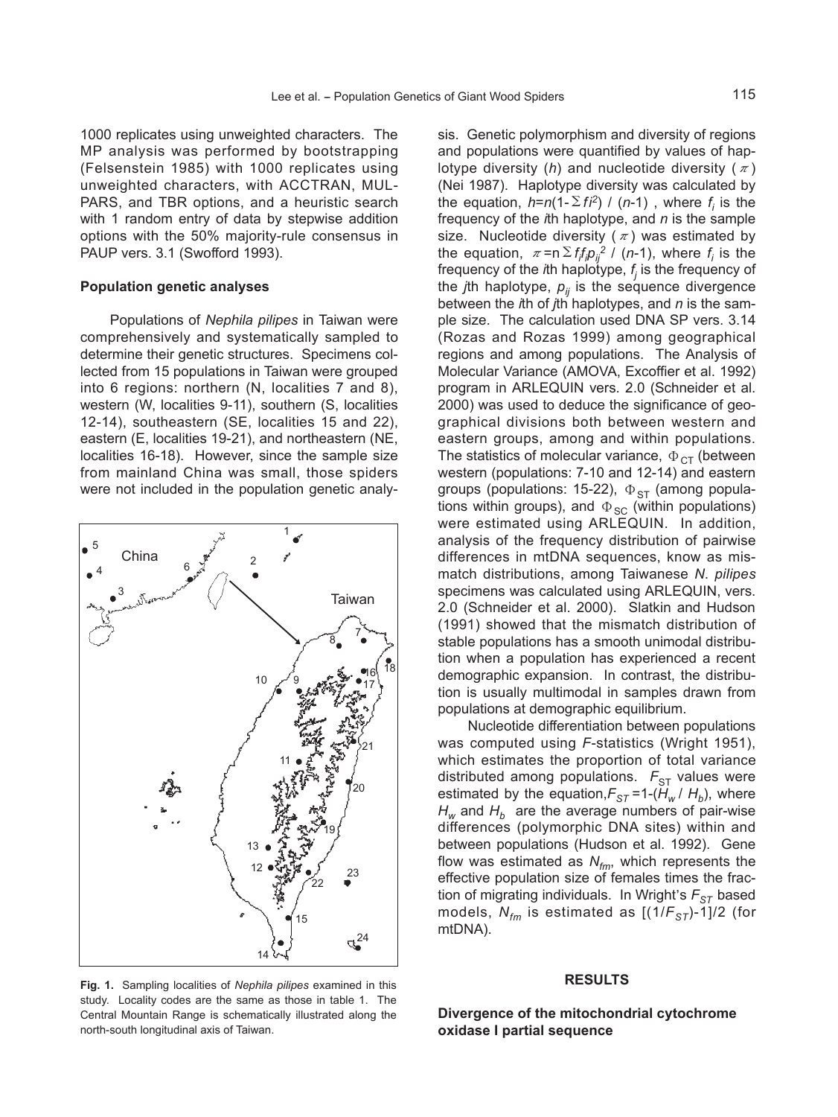1000 replicates using unweighted characters. The MP analysis was performed by bootstrapping (Felsenstein 1985) with 1000 replicates using unweighted characters, with ACCTRAN, MUL-PARS, and TBR options, and a heuristic search with 1 random entry of data by stepwise addition options with the 50% majority-rule consensus in PAUP vers. 3.1 (Swofford 1993).

#### **Population genetic analyses**

Populations of *Nephila pilipes* in Taiwan were comprehensively and systematically sampled to determine their genetic structures. Specimens collected from 15 populations in Taiwan were grouped into 6 regions: northern (N, localities 7 and 8), western (W, localities 9-11), southern (S, localities 12-14), southeastern (SE, localities 15 and 22), eastern (E, localities 19-21), and northeastern (NE, localities 16-18). However, since the sample size from mainland China was small, those spiders were not included in the population genetic analy-



sis. Genetic polymorphism and diversity of regions and populations were quantified by values of haplotype diversity (*h*) and nucleotide diversity ( $\pi$ ) (Nei 1987). Haplotype diversity was calculated by the equation,  $h=n(1-\Sigma f i^2)$  / (*n*-1), where  $f_i$  is the frequency of the *i*th haplotype, and *n* is the sample size. Nucleotide diversity  $(\pi)$  was estimated by the equation,  $\pi = n \sum f_i f_j p_{ij}^2$  / (*n*-1), where  $f_i$  is the frequency of the *i*th haplotype, *f <sup>j</sup>* is the frequency of the *j*th haplotype,  $p_{ij}$  is the sequence divergence between the *i*th of *j*th haplotypes, and *n* is the sample size. The calculation used DNA SP vers. 3.14 (Rozas and Rozas 1999) among geographical regions and among populations. The Analysis of Molecular Variance (AMOVA, Excoffier et al. 1992) program in ARLEQUIN vers. 2.0 (Schneider et al. 2000) was used to deduce the significance of geographical divisions both between western and eastern groups, among and within populations. The statistics of molecular variance,  $\Phi_{CT}$  (between western (populations: 7-10 and 12-14) and eastern groups (populations: 15-22),  $\Phi_{ST}$  (among populations within groups), and  $\Phi_{SC}$  (within populations) were estimated using ARLEQUIN. In addition, analysis of the frequency distribution of pairwise differences in mtDNA sequences, know as mismatch distributions, among Taiwanese *N*. *pilipes* specimens was calculated using ARLEQUIN, vers. 2.0 (Schneider et al. 2000). Slatkin and Hudson (1991) showed that the mismatch distribution of stable populations has a smooth unimodal distribution when a population has experienced a recent demographic expansion. In contrast, the distribution is usually multimodal in samples drawn from populations at demographic equilibrium.

Nucleotide differentiation between populations was computed using *F*-statistics (Wright 1951), which estimates the proportion of total variance distributed among populations.  $F_{ST}$  values were estimated by the equation, $F_{ST}$ =1-( $H_w$ / $H_b$ ), where  $H_w$  and  $H_h$  are the average numbers of pair-wise differences (polymorphic DNA sites) within and between populations (Hudson et al. 1992). Gene flow was estimated as  $N_{fm}$ , which represents the effective population size of females times the fraction of migrating individuals. In Wright, s *FST* based models,  $N_{fm}$  is estimated as  $[(1/F_{ST})-1]/2$  (for mtDNA).

#### **RESULTS**

study. Locality codes are the same as those in table 1. The Central Mountain Range is schematically illustrated along the north-south longitudinal axis of Taiwan.

**Divergence of the mitochondrial cytochrome oxidase I partial sequence**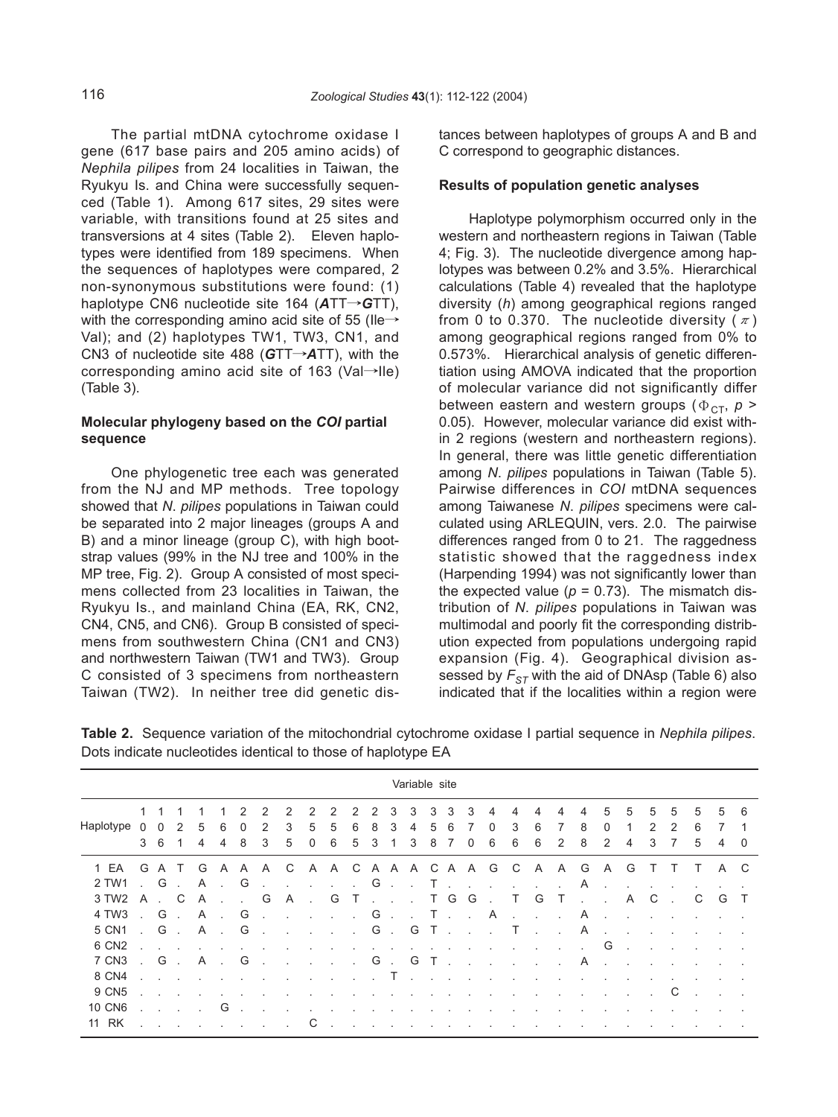The partial mtDNA cytochrome oxidase I gene (617 base pairs and 205 amino acids) of *Nephila pilipes* from 24 localities in Taiwan, the Ryukyu Is. and China were successfully sequenced (Table 1). Among 617 sites, 29 sites were variable, with transitions found at 25 sites and transversions at 4 sites (Table 2). Eleven haplotypes were identified from 189 specimens. When the sequences of haplotypes were compared, 2 non-synonymous substitutions were found: (1) haplotype CN6 nucleotide site 164 (*A*TT→*G*TT), with the corresponding amino acid site of 55 (Ile $\rightarrow$ Val); and (2) haplotypes TW1, TW3, CN1, and CN3 of nucleotide site 488 (*G*TT→*A*TT), with the corresponding amino acid site of 163 (Val→Ile) (Table 3).

# **Molecular phylogeny based on the** *COI* **partial sequence**

One phylogenetic tree each was generated from the NJ and MP methods. Tree topology showed that *N*. *pilipes* populations in Taiwan could be separated into 2 major lineages (groups A and B) and a minor lineage (group C), with high bootstrap values (99% in the NJ tree and 100% in the MP tree, Fig. 2). Group A consisted of most specimens collected from 23 localities in Taiwan, the Ryukyu Is., and mainland China (EA, RK, CN2, CN4, CN5, and CN6). Group B consisted of specimens from southwestern China (CN1 and CN3) and northwestern Taiwan (TW1 and TW3). Group C consisted of 3 specimens from northeastern Taiwan (TW2). In neither tree did genetic distances between haplotypes of groups A and B and C correspond to geographic distances.

#### **Results of population genetic analyses**

Haplotype polymorphism occurred only in the western and northeastern regions in Taiwan (Table 4; Fig. 3). The nucleotide divergence among haplotypes was between 0.2% and 3.5%. Hierarchical calculations (Table 4) revealed that the haplotype diversity (*h*) among geographical regions ranged from 0 to 0.370. The nucleotide diversity  $(\pi)$ among geographical regions ranged from 0% to 0.573%. Hierarchical analysis of genetic differentiation using AMOVA indicated that the proportion of molecular variance did not significantly differ between eastern and western groups ( $\Phi_{\text{CT}}$ ,  $p >$ 0.05). However, molecular variance did exist within 2 regions (western and northeastern regions). In general, there was little genetic differentiation among *N*. *pilipes* populations in Taiwan (Table 5). Pairwise differences in *COI* mtDNA sequences among Taiwanese *N*. *pilipes* specimens were calculated using ARLEQUIN, vers. 2.0. The pairwise differences ranged from 0 to 21. The raggedness statistic showed that the raggedness index (Harpending 1994) was not significantly lower than the expected value ( $p = 0.73$ ). The mismatch distribution of *N*. *pilipes* populations in Taiwan was multimodal and poorly fit the corresponding distribution expected from populations undergoing rapid expansion (Fig. 4). Geographical division assessed by  $F_{ST}$  with the aid of DNAsp (Table 6) also indicated that if the localities within a region were

**Table 2.** Sequence variation of the mitochondrial cytochrome oxidase I partial sequence in *Nephila pilipes*. Dots indicate nucleotides identical to those of haplotype EA

| Variable site     |                |                |                  |              |                |                           |                |                      |                   |                    |                   |                           |                 |                           |               |                                                              |                       |                             |                |                   |              |                             |              |              |        |   |    |     |          |
|-------------------|----------------|----------------|------------------|--------------|----------------|---------------------------|----------------|----------------------|-------------------|--------------------|-------------------|---------------------------|-----------------|---------------------------|---------------|--------------------------------------------------------------|-----------------------|-----------------------------|----------------|-------------------|--------------|-----------------------------|--------------|--------------|--------|---|----|-----|----------|
|                   | 1              |                |                  |              |                | 2                         | $\mathcal{P}$  | 2                    | 2                 | 2                  | 2                 | 2                         | 3               | 3                         | 3             | 3                                                            | 3                     | 4                           | 4              | 4                 | 4            | 4                           | 5            | 5            | 5      | 5 | 5  | -5  | -6       |
| Haplotype         | $\Omega$       | $\Omega$       | 2                | 5            | 6              | $\Omega$                  | 2              | 3                    | 5                 | 5                  | 6                 | 8                         | 3               | 4                         | 5             | 6                                                            | 7                     | 0                           | 3              | 6                 | 7            | 8                           | 0            | 1            | 2      | 2 | 6  | 7   | 1        |
|                   | 3              | - 6            | 1                | 4            | 4              | 8                         | 3              | 5                    | 0                 | 6                  | 5                 | 3                         |                 | 3                         | 8             | 7                                                            | $\mathbf 0$           | 6                           | 6              | 6                 | 2            | 8                           | 2            | 4            | 3      |   | 5  | 4   | $\Omega$ |
| 1 EA              | G              | $\mathsf{A}$   | $\top$           | G            | A              |                           | A A C          |                      | A A C A A A C A A |                    |                   |                           |                 |                           |               |                                                              |                       | G                           | $\mathsf{C}$   | A                 | A            | G                           | A            | G            | T      |   | T. | A C |          |
| 2 TW1             |                | $\cdot$ G      | $\sim$           | $\mathsf{A}$ | $\sim 10^{-1}$ | G                         | <b>Service</b> |                      | $\sim$            |                    |                   |                           |                 |                           |               |                                                              | $G \qquad T \qquad T$ |                             | $\sim$         | $\sim 10^{-11}$   | $\mathbf{r}$ | A                           | $\sim$       |              |        |   |    |     |          |
| 3 TW2             | A              |                | C                | A            | $\sim$         | $\mathbf{r} = \mathbf{r}$ | G              | A                    | $\sim$            | G                  | $\top$            |                           |                 | and a state               |               | T G                                                          | G                     |                             | Τ              | G                 | $\top$       |                             | $\mathbf{r}$ | A            | C      |   | C  | G   |          |
| 4 TW3             |                | G              | $\sim$           | A            | $\sim 10^{-1}$ | G                         | $\sim$         | $\sim 10$            | $\mathcal{L}$     | and a state of the |                   | G                         | $\sim 10^{-11}$ |                           |               | $\mathcal{L} = \mathbf{T} \cdot \mathbf{1} \cdot \mathbf{1}$ |                       | A                           | $\sim$         | $\mathbf{r}$      | ÷            | A                           | $\sim$       | $\cdot$      | $\sim$ |   |    |     |          |
| 5 CN1             | $\sim 10^{-1}$ | G.             |                  |              | A.,            | G                         | $\sim$         | $\ddot{\phantom{a}}$ |                   | $\sim$             | $\sim 10^{-11}$   |                           | G.              | G                         | $T$ .         |                                                              | $\sim 100$            | $\sim 10$                   | $\top$         | $\sim$            | $\sim 100$   | A                           | $\sim$       | $\mathbf{r}$ |        |   |    |     |          |
| 6 CN <sub>2</sub> |                | <b>Service</b> |                  |              |                |                           |                |                      |                   |                    |                   | $\mathbf{r} = \mathbf{r}$ |                 | $\mathbf{r} = \mathbf{r}$ |               | $\sim 100$                                                   | $\sim 10$             |                             |                | $\sim$            | $\sim$       | $\mathbf{r} = \mathbf{r}$ . | G            | $\sim$       | $\sim$ |   |    |     |          |
| 7 CN3             |                |                |                  | . G. A.      |                | G                         |                |                      |                   | $\sim 10$          | <b>Contractor</b> | G                         | $\sim 10^{-11}$ | G                         | $\top$ .      |                                                              | $\sim$ $\sim$         | $\mathcal{L}_{\mathcal{A}}$ | $\sim 100$     | <b>Contractor</b> | $\sim$       | A.                          |              | ÷            | $\sim$ |   |    |     |          |
| 8 CN4             |                |                |                  |              |                |                           |                |                      | $\sim$            | $\cdot$            | and the           |                           | $\top$ .        |                           | $\sim$ $\sim$ | $\sim$                                                       | $\sim$                |                             |                |                   |              |                             |              |              |        |   |    |     |          |
| 9 CN5             |                |                |                  |              |                |                           |                |                      |                   | $\epsilon$         | $\sim$            | $\sim$                    | $\sim$          | $\sim$                    | $\sim$        | $\sim$                                                       | $\sim$                | $\cdot$                     | $\blacksquare$ | $\epsilon$        | $\cdot$      | $\epsilon$                  | $\sim$       | $\epsilon$   |        | С |    |     |          |
| <b>10 CN6</b>     |                |                | $\sim$ 100 $\mu$ |              | G              |                           |                |                      |                   |                    |                   |                           | $\cdot$         | $\blacksquare$            |               | <b>Contract</b>                                              |                       |                             |                |                   |              |                             |              |              |        |   |    |     |          |
| 11 RK             |                |                |                  |              |                |                           |                |                      |                   |                    |                   |                           |                 |                           |               |                                                              |                       |                             |                |                   |              |                             |              |              |        |   |    |     |          |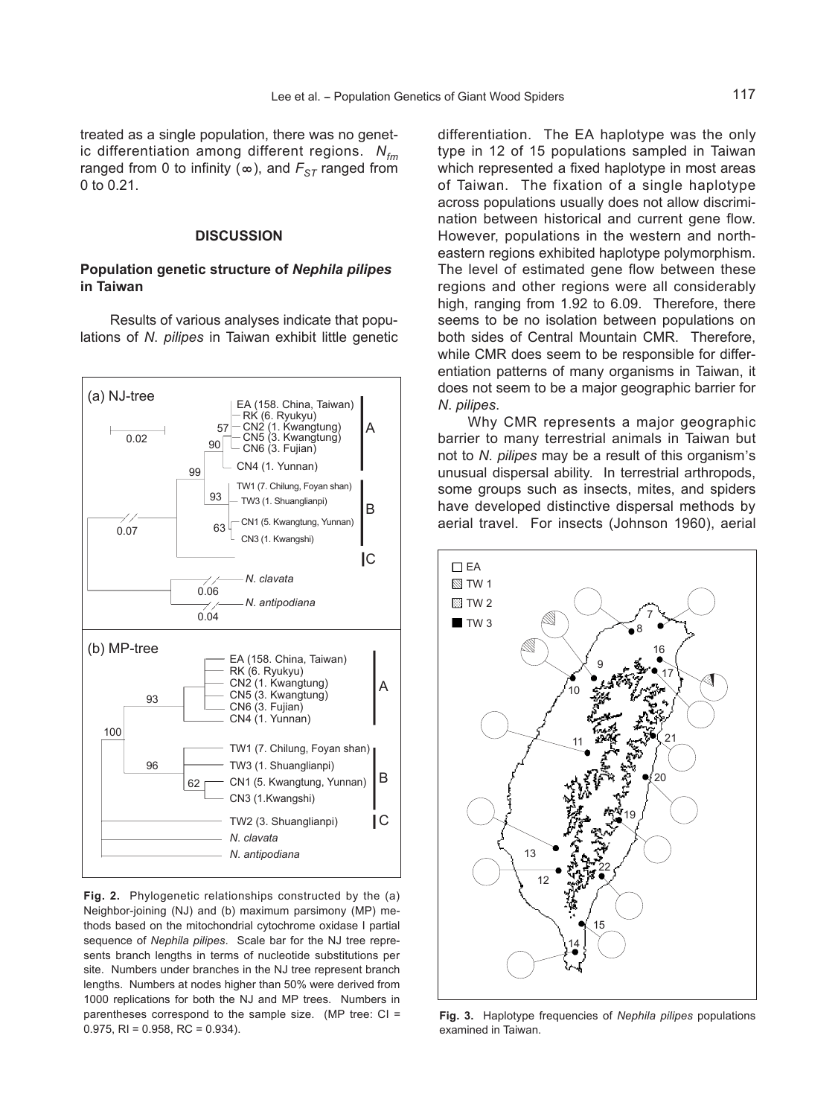treated as a single population, there was no genetic differentiation among different regions. *Nfm* ranged from 0 to infinity ( $\infty$ ), and  $F_{ST}$  ranged from 0 to 0.21.

### **DISCUSSION**

# **Population genetic structure of** *Nephila pilipes* **in Taiwan**

Results of various analyses indicate that populations of *N*. *pilipes* in Taiwan exhibit little genetic



**Fig. 2.** Phylogenetic relationships constructed by the (a) Neighbor-joining (NJ) and (b) maximum parsimony (MP) methods based on the mitochondrial cytochrome oxidase I partial sequence of *Nephila pilipes*. Scale bar for the NJ tree represents branch lengths in terms of nucleotide substitutions per site. Numbers under branches in the NJ tree represent branch lengths. Numbers at nodes higher than 50% were derived from 1000 replications for both the NJ and MP trees. Numbers in parentheses correspond to the sample size. (MP tree: CI =  $0.975$ , RI = 0.958, RC = 0.934).

differentiation. The EA haplotype was the only type in 12 of 15 populations sampled in Taiwan which represented a fixed haplotype in most areas of Taiwan. The fixation of a single haplotype across populations usually does not allow discrimination between historical and current gene flow. However, populations in the western and northeastern regions exhibited haplotype polymorphism. The level of estimated gene flow between these regions and other regions were all considerably high, ranging from 1.92 to 6.09. Therefore, there seems to be no isolation between populations on both sides of Central Mountain CMR. Therefore, while CMR does seem to be responsible for differentiation patterns of many organisms in Taiwan, it does not seem to be a major geographic barrier for *N*. *pilipes*.

Why CMR represents a major geographic barrier to many terrestrial animals in Taiwan but partier to many terrestrial animals in Talward but<br>not to *N. pilipes* may be a result of this organism's unusual dispersal ability. In terrestrial arthropods, some groups such as insects, mites, and spiders have developed distinctive dispersal methods by aerial travel. For insects (Johnson 1960), aerial



**Fig. 3.** Haplotype frequencies of *Nephila pilipes* populations examined in Taiwan.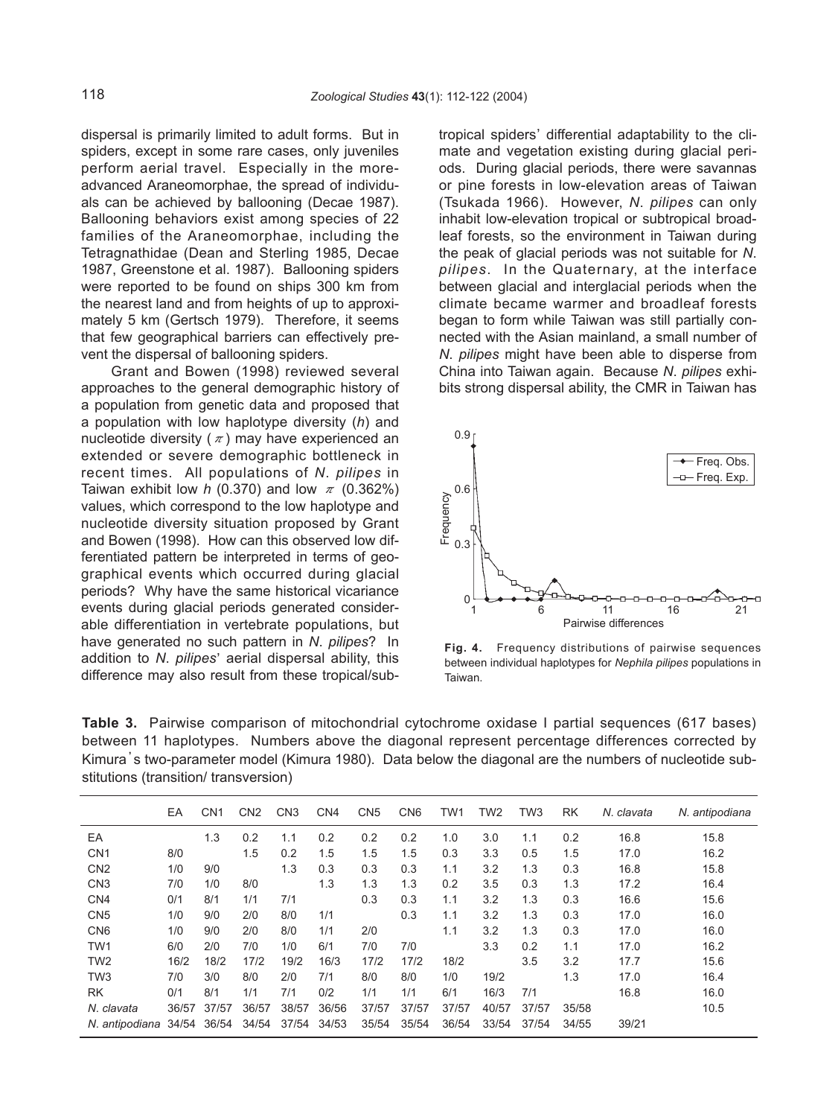dispersal is primarily limited to adult forms. But in spiders, except in some rare cases, only juveniles perform aerial travel. Especially in the moreadvanced Araneomorphae, the spread of individuals can be achieved by ballooning (Decae 1987). Ballooning behaviors exist among species of 22 families of the Araneomorphae, including the Tetragnathidae (Dean and Sterling 1985, Decae 1987, Greenstone et al. 1987). Ballooning spiders were reported to be found on ships 300 km from the nearest land and from heights of up to approximately 5 km (Gertsch 1979). Therefore, it seems that few geographical barriers can effectively prevent the dispersal of ballooning spiders.

Grant and Bowen (1998) reviewed several approaches to the general demographic history of a population from genetic data and proposed that a population with low haplotype diversity (*h*) and nucleotide diversity ( $\pi$ ) may have experienced an extended or severe demographic bottleneck in recent times. All populations of *N*. *pilipes* in Taiwan exhibit low *h* (0.370) and low  $\pi$  (0.362%) values, which correspond to the low haplotype and nucleotide diversity situation proposed by Grant and Bowen (1998). How can this observed low differentiated pattern be interpreted in terms of geographical events which occurred during glacial periods? Why have the same historical vicariance events during glacial periods generated considerable differentiation in vertebrate populations, but have generated no such pattern in *N*. *pilipes*? In addition to *N. pilipes*' aerial dispersal ability, this difference may also result from these tropical/subtropical spiders' differential adaptability to the climate and vegetation existing during glacial periods. During glacial periods, there were savannas or pine forests in low-elevation areas of Taiwan (Tsukada 1966). However, *N*. *pilipes* can only inhabit low-elevation tropical or subtropical broadleaf forests, so the environment in Taiwan during the peak of glacial periods was not suitable for *N*. *pilipes*. In the Quaternary, at the interface between glacial and interglacial periods when the climate became warmer and broadleaf forests began to form while Taiwan was still partially connected with the Asian mainland, a small number of *N*. *pilipes* might have been able to disperse from China into Taiwan again. Because *N*. *pilipes* exhibits strong dispersal ability, the CMR in Taiwan has



**Fig. 4.** Frequency distributions of pairwise sequences between individual haplotypes for *Nephila pilipes* populations in

**Table 3.** Pairwise comparison of mitochondrial cytochrome oxidase I partial sequences (617 bases) between 11 haplotypes. Numbers above the diagonal represent percentage differences corrected by Kimura, s two-parameter model (Kimura 1980). Data below the diagonal are the numbers of nucleotide substitutions (transition/ transversion)

|                 | EA    | CN <sub>1</sub> | CN <sub>2</sub> | CN <sub>3</sub> | CN <sub>4</sub> | CN <sub>5</sub> | CN <sub>6</sub> | TW1   | TW <sub>2</sub> | TW <sub>3</sub> | RK    | N. clavata | N. antipodiana |
|-----------------|-------|-----------------|-----------------|-----------------|-----------------|-----------------|-----------------|-------|-----------------|-----------------|-------|------------|----------------|
| EA              |       | 1.3             | 0.2             | 1.1             | 0.2             | 0.2             | 0.2             | 1.0   | 3.0             | 1.1             | 0.2   | 16.8       | 15.8           |
| CN <sub>1</sub> | 8/0   |                 | 1.5             | 0.2             | 1.5             | 1.5             | 1.5             | 0.3   | 3.3             | 0.5             | 1.5   | 17.0       | 16.2           |
| CN <sub>2</sub> | 1/0   | 9/0             |                 | 1.3             | 0.3             | 0.3             | 0.3             | 1.1   | 3.2             | 1.3             | 0.3   | 16.8       | 15.8           |
| CN <sub>3</sub> | 7/0   | 1/0             | 8/0             |                 | 1.3             | 1.3             | 1.3             | 0.2   | 3.5             | 0.3             | 1.3   | 17.2       | 16.4           |
| CN <sub>4</sub> | 0/1   | 8/1             | 1/1             | 7/1             |                 | 0.3             | 0.3             | 1.1   | 3.2             | 1.3             | 0.3   | 16.6       | 15.6           |
| CN <sub>5</sub> | 1/0   | 9/0             | 2/0             | 8/0             | 1/1             |                 | 0.3             | 1.1   | 3.2             | 1.3             | 0.3   | 17.0       | 16.0           |
| CN <sub>6</sub> | 1/0   | 9/0             | 2/0             | 8/0             | 1/1             | 2/0             |                 | 1.1   | 3.2             | 1.3             | 0.3   | 17.0       | 16.0           |
| TW <sub>1</sub> | 6/0   | 2/0             | 7/0             | 1/0             | 6/1             | 7/0             | 7/0             |       | 3.3             | 0.2             | 1.1   | 17.0       | 16.2           |
| TW <sub>2</sub> | 16/2  | 18/2            | 17/2            | 19/2            | 16/3            | 17/2            | 17/2            | 18/2  |                 | 3.5             | 3.2   | 17.7       | 15.6           |
| TW <sub>3</sub> | 7/0   | 3/0             | 8/0             | 2/0             | 7/1             | 8/0             | 8/0             | 1/0   | 19/2            |                 | 1.3   | 17.0       | 16.4           |
| <b>RK</b>       | 0/1   | 8/1             | 1/1             | 7/1             | 0/2             | 1/1             | 1/1             | 6/1   | 16/3            | 7/1             |       | 16.8       | 16.0           |
| N. clavata      | 36/57 | 37/57           | 36/57           | 38/57           | 36/56           | 37/57           | 37/57           | 37/57 | 40/57           | 37/57           | 35/58 |            | 10.5           |
| N. antipodiana  | 34/54 | 36/54           | 34/54           | 37/54           | 34/53           | 35/54           | 35/54           | 36/54 | 33/54           | 37/54           | 34/55 | 39/21      |                |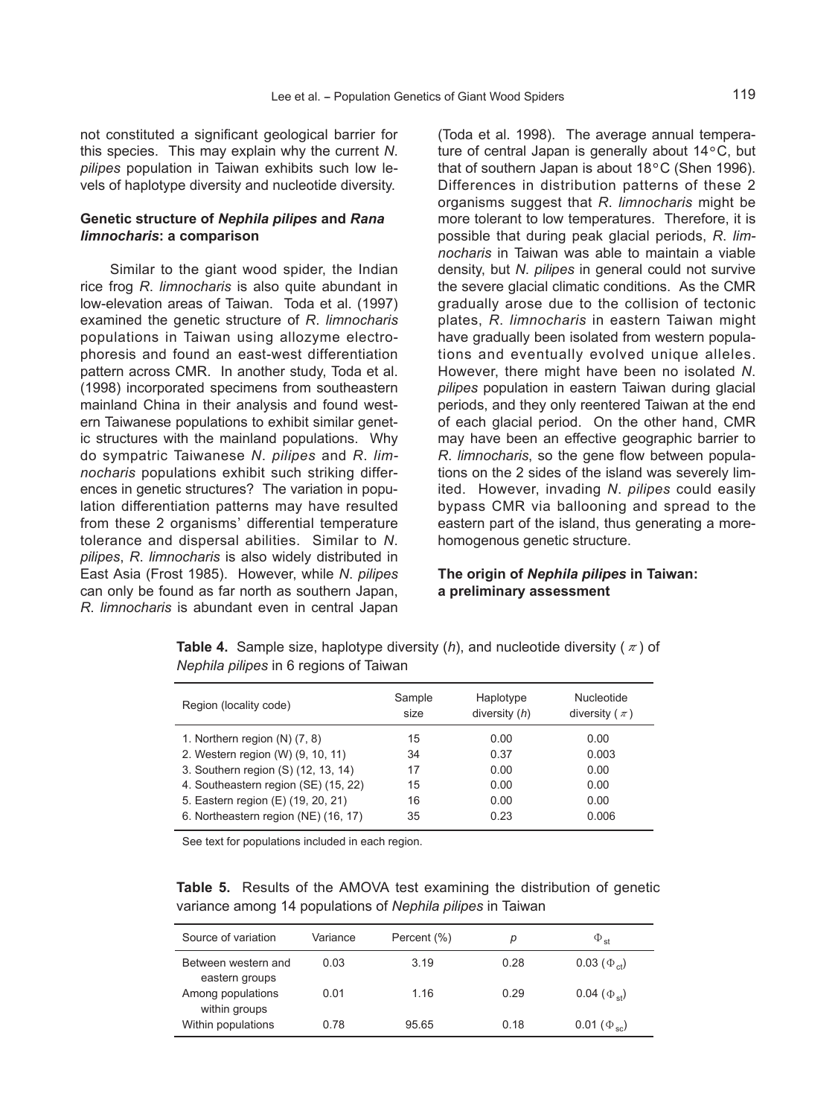not constituted a significant geological barrier for this species. This may explain why the current *N*. *pilipes* population in Taiwan exhibits such low levels of haplotype diversity and nucleotide diversity.

# **Genetic structure of** *Nephila pilipes* **and** *Rana limnocharis***: a comparison**

Similar to the giant wood spider, the Indian rice frog *R*. *limnocharis* is also quite abundant in low-elevation areas of Taiwan. Toda et al. (1997) examined the genetic structure of *R*. *limnocharis* populations in Taiwan using allozyme electrophoresis and found an east-west differentiation pattern across CMR. In another study, Toda et al. (1998) incorporated specimens from southeastern mainland China in their analysis and found western Taiwanese populations to exhibit similar genetic structures with the mainland populations. Why do sympatric Taiwanese *N*. *pilipes* and *R*. *limnocharis* populations exhibit such striking differences in genetic structures? The variation in population differentiation patterns may have resulted from these 2 organisms' differential temperature tolerance and dispersal abilities. Similar to *N*. *pilipes*, *R*. *limnocharis* is also widely distributed in East Asia (Frost 1985). However, while *N*. *pilipes* can only be found as far north as southern Japan, *R*. *limnocharis* is abundant even in central Japan (Toda et al. 1998). The average annual temperature of central Japan is generally about 14°C, but that of southern Japan is about 18°C (Shen 1996). Differences in distribution patterns of these 2 organisms suggest that *R*. *limnocharis* might be more tolerant to low temperatures. Therefore, it is possible that during peak glacial periods, *R*. *limnocharis* in Taiwan was able to maintain a viable density, but *N*. *pilipes* in general could not survive the severe glacial climatic conditions. As the CMR gradually arose due to the collision of tectonic plates, *R*. *limnocharis* in eastern Taiwan might have gradually been isolated from western populations and eventually evolved unique alleles. However, there might have been no isolated *N*. *pilipes* population in eastern Taiwan during glacial periods, and they only reentered Taiwan at the end of each glacial period. On the other hand, CMR may have been an effective geographic barrier to *R*. *limnocharis*, so the gene flow between populations on the 2 sides of the island was severely limited. However, invading *N*. *pilipes* could easily bypass CMR via ballooning and spread to the eastern part of the island, thus generating a morehomogenous genetic structure.

# **The origin of** *Nephila pilipes* **in Taiwan: a preliminary assessment**

**Table 4.** Sample size, haplotype diversity  $(h)$ , and nucleotide diversity ( $\pi$ ) of *Nephila pilipes* in 6 regions of Taiwan

| Region (locality code)               | Sample<br>size | Haplotype<br>diversity $(h)$ | Nucleotide<br>diversity ( $\pi$ ) |  |  |  |
|--------------------------------------|----------------|------------------------------|-----------------------------------|--|--|--|
| 1. Northern region $(N)$ $(7, 8)$    | 15             | 0.00                         | 0.00                              |  |  |  |
| 2. Western region (W) (9, 10, 11)    | 34             | 0.37                         | 0.003                             |  |  |  |
| 3. Southern region (S) (12, 13, 14)  | 17             | 0.00                         | 0.00                              |  |  |  |
| 4. Southeastern region (SE) (15, 22) | 15             | 0.00                         | 0.00                              |  |  |  |
| 5. Eastern region (E) (19, 20, 21)   | 16             | 0.00                         | 0.00                              |  |  |  |
| 6. Northeastern region (NE) (16, 17) | 35             | 0.23                         | 0.006                             |  |  |  |

See text for populations included in each region.

**Table 5.** Results of the AMOVA test examining the distribution of genetic variance among 14 populations of *Nephila pilipes* in Taiwan

| Source of variation                   | Variance | Percent (%) | р    | $\Phi_{st}$              |
|---------------------------------------|----------|-------------|------|--------------------------|
| Between western and<br>eastern groups | 0.03     | 3.19        | 0.28 | $0.03~(\Phi_{\rm ct})$   |
| Among populations<br>within groups    | 0.01     | 1.16        | 0.29 | 0.04 ( $\Phi_{st}$ )     |
| Within populations                    | 0.78     | 95.65       | 0 18 | 0.01 ( $\Phi_{\rm sc}$ ) |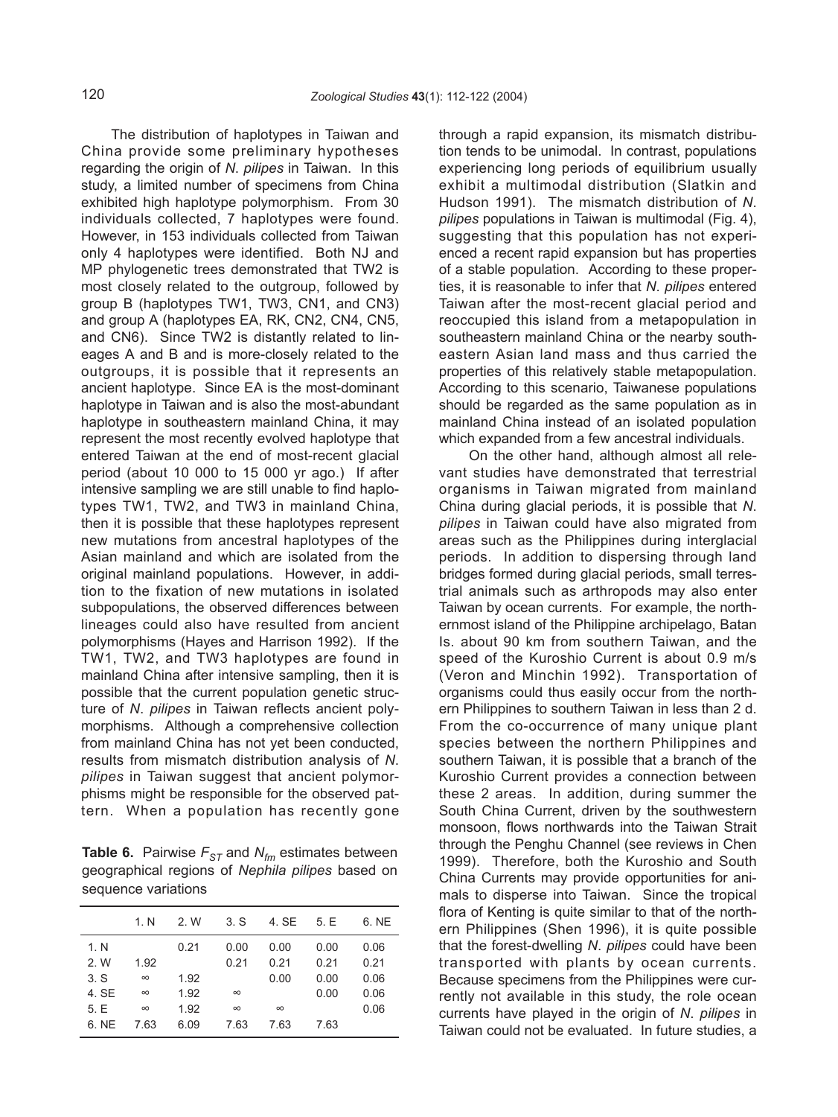The distribution of haplotypes in Taiwan and China provide some preliminary hypotheses regarding the origin of *N*. *pilipes* in Taiwan. In this study, a limited number of specimens from China exhibited high haplotype polymorphism. From 30 individuals collected, 7 haplotypes were found. However, in 153 individuals collected from Taiwan only 4 haplotypes were identified. Both NJ and MP phylogenetic trees demonstrated that TW2 is most closely related to the outgroup, followed by group B (haplotypes TW1, TW3, CN1, and CN3) and group A (haplotypes EA, RK, CN2, CN4, CN5, and CN6). Since TW2 is distantly related to lineages A and B and is more-closely related to the outgroups, it is possible that it represents an ancient haplotype. Since EA is the most-dominant haplotype in Taiwan and is also the most-abundant haplotype in southeastern mainland China, it may represent the most recently evolved haplotype that entered Taiwan at the end of most-recent glacial period (about 10 000 to 15 000 yr ago.) If after intensive sampling we are still unable to find haplotypes TW1, TW2, and TW3 in mainland China, then it is possible that these haplotypes represent new mutations from ancestral haplotypes of the Asian mainland and which are isolated from the original mainland populations. However, in addition to the fixation of new mutations in isolated subpopulations, the observed differences between lineages could also have resulted from ancient polymorphisms (Hayes and Harrison 1992). If the TW1, TW2, and TW3 haplotypes are found in mainland China after intensive sampling, then it is possible that the current population genetic structure of *N*. *pilipes* in Taiwan reflects ancient polymorphisms. Although a comprehensive collection from mainland China has not yet been conducted, results from mismatch distribution analysis of *N*. *pilipes* in Taiwan suggest that ancient polymorphisms might be responsible for the observed pattern. When a population has recently gone

**Table 6.** Pairwise  $F_{ST}$  and  $N_{fm}$  estimates between geographical regions of *Nephila pilipes* based on sequence variations

|       | 1 N      | 2. W | 3. S     | 4. SE    | 5. E | 6. NE |
|-------|----------|------|----------|----------|------|-------|
| 1. N  |          | 0.21 | 0.00     | 0.00     | 0.00 | 0.06  |
| 2. W  | 1.92     |      | 0.21     | 0.21     | 0.21 | 0.21  |
| 3. S  | $\infty$ | 1.92 |          | 0.00     | 0.00 | 0.06  |
| 4. SE | $\infty$ | 1.92 | $\infty$ |          | 0.00 | 0.06  |
| 5.E   | $\infty$ | 1.92 | $\infty$ | $\infty$ |      | 0.06  |
| 6. NE | 7.63     | 6.09 | 7.63     | 7.63     | 7.63 |       |

through a rapid expansion, its mismatch distribution tends to be unimodal. In contrast, populations experiencing long periods of equilibrium usually exhibit a multimodal distribution (Slatkin and Hudson 1991). The mismatch distribution of *N*. *pilipes* populations in Taiwan is multimodal (Fig. 4), suggesting that this population has not experienced a recent rapid expansion but has properties of a stable population. According to these properties, it is reasonable to infer that *N*. *pilipes* entered Taiwan after the most-recent glacial period and reoccupied this island from a metapopulation in southeastern mainland China or the nearby southeastern Asian land mass and thus carried the properties of this relatively stable metapopulation. According to this scenario, Taiwanese populations should be regarded as the same population as in mainland China instead of an isolated population which expanded from a few ancestral individuals.

On the other hand, although almost all relevant studies have demonstrated that terrestrial organisms in Taiwan migrated from mainland China during glacial periods, it is possible that *N*. *pilipes* in Taiwan could have also migrated from areas such as the Philippines during interglacial periods. In addition to dispersing through land bridges formed during glacial periods, small terrestrial animals such as arthropods may also enter Taiwan by ocean currents. For example, the northernmost island of the Philippine archipelago, Batan Is. about 90 km from southern Taiwan, and the speed of the Kuroshio Current is about 0.9 m/s (Veron and Minchin 1992). Transportation of organisms could thus easily occur from the northern Philippines to southern Taiwan in less than 2 d. From the co-occurrence of many unique plant species between the northern Philippines and southern Taiwan, it is possible that a branch of the Kuroshio Current provides a connection between these 2 areas. In addition, during summer the South China Current, driven by the southwestern monsoon, flows northwards into the Taiwan Strait through the Penghu Channel (see reviews in Chen 1999). Therefore, both the Kuroshio and South China Currents may provide opportunities for animals to disperse into Taiwan. Since the tropical flora of Kenting is quite similar to that of the northern Philippines (Shen 1996), it is quite possible that the forest-dwelling *N*. *pilipes* could have been transported with plants by ocean currents. Because specimens from the Philippines were currently not available in this study, the role ocean currents have played in the origin of *N*. *pilipes* in Taiwan could not be evaluated. In future studies, a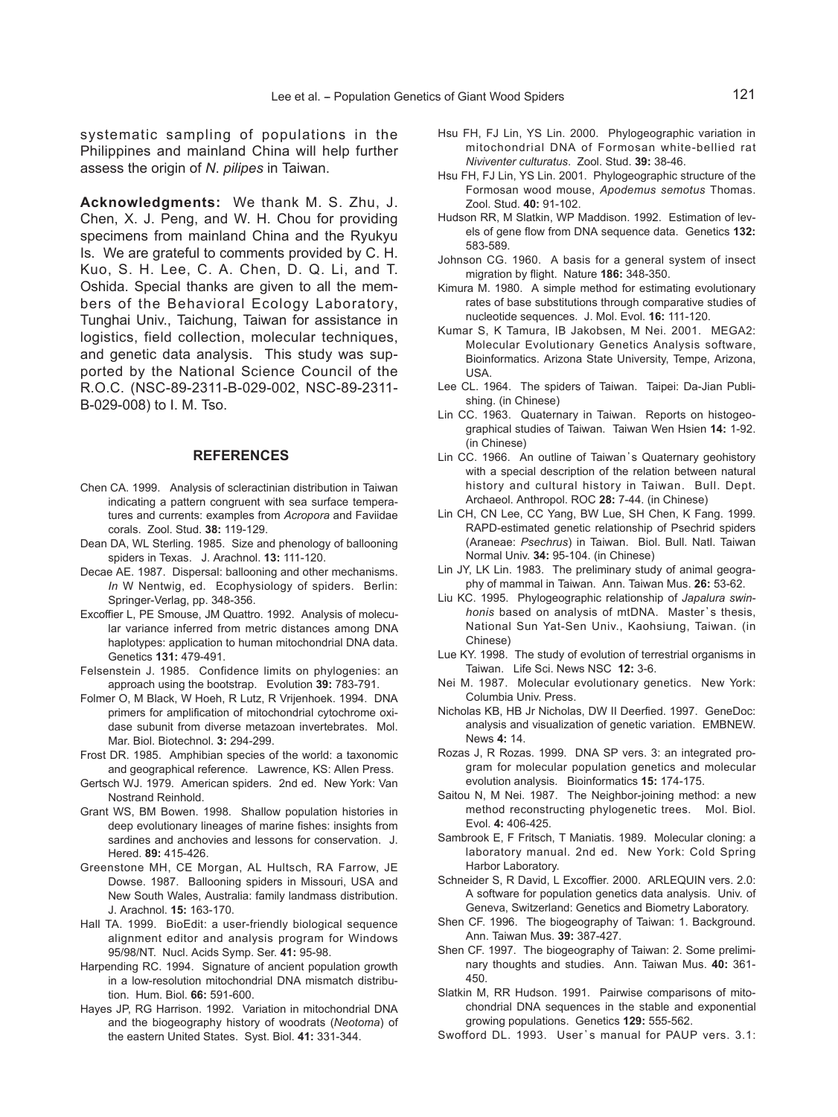systematic sampling of populations in the Philippines and mainland China will help further assess the origin of *N*. *pilipes* in Taiwan.

**Acknowledgments:** We thank M. S. Zhu, J. Chen, X. J. Peng, and W. H. Chou for providing specimens from mainland China and the Ryukyu Is. We are grateful to comments provided by C. H. Kuo, S. H. Lee, C. A. Chen, D. Q. Li, and T. Oshida. Special thanks are given to all the members of the Behavioral Ecology Laboratory, Tunghai Univ., Taichung, Taiwan for assistance in logistics, field collection, molecular techniques, and genetic data analysis. This study was supported by the National Science Council of the R.O.C. (NSC-89-2311-B-029-002, NSC-89-2311- B-029-008) to I. M. Tso.

#### **REFERENCES**

- Chen CA. 1999. Analysis of scleractinian distribution in Taiwan indicating a pattern congruent with sea surface temperatures and currents: examples from *Acropora* and Faviidae corals. Zool. Stud. **38:** 119-129.
- Dean DA, WL Sterling. 1985. Size and phenology of ballooning spiders in Texas. J. Arachnol. **13:** 111-120.
- Decae AE. 1987. Dispersal: ballooning and other mechanisms. *In* W Nentwig, ed. Ecophysiology of spiders. Berlin: Springer-Verlag, pp. 348-356.
- Excoffier L, PE Smouse, JM Quattro. 1992. Analysis of molecular variance inferred from metric distances among DNA haplotypes: application to human mitochondrial DNA data. Genetics **131:** 479-491.
- Felsenstein J. 1985. Confidence limits on phylogenies: an approach using the bootstrap. Evolution **39:** 783-791.
- Folmer O, M Black, W Hoeh, R Lutz, R Vrijenhoek. 1994. DNA primers for amplification of mitochondrial cytochrome oxidase subunit from diverse metazoan invertebrates. Mol. Mar. Biol. Biotechnol. **3:** 294-299.
- Frost DR. 1985. Amphibian species of the world: a taxonomic and geographical reference. Lawrence, KS: Allen Press.
- Gertsch WJ. 1979. American spiders. 2nd ed. New York: Van Nostrand Reinhold.
- Grant WS, BM Bowen. 1998. Shallow population histories in deep evolutionary lineages of marine fishes: insights from sardines and anchovies and lessons for conservation. J. Hered. **89:** 415-426.
- Greenstone MH, CE Morgan, AL Hultsch, RA Farrow, JE Dowse. 1987. Ballooning spiders in Missouri, USA and New South Wales, Australia: family landmass distribution. J. Arachnol. **15:** 163-170.
- Hall TA. 1999. BioEdit: a user-friendly biological sequence alignment editor and analysis program for Windows 95/98/NT. Nucl. Acids Symp. Ser. **41:** 95-98.
- Harpending RC. 1994. Signature of ancient population growth in a low-resolution mitochondrial DNA mismatch distribution. Hum. Biol. **66:** 591-600.
- Hayes JP, RG Harrison. 1992. Variation in mitochondrial DNA and the biogeography history of woodrats (*Neotoma*) of the eastern United States. Syst. Biol. **41:** 331-344.
- Hsu FH, FJ Lin, YS Lin. 2000. Phylogeographic variation in mitochondrial DNA of Formosan white-bellied rat *Niviventer culturatus*. Zool. Stud. **39:** 38-46.
- Hsu FH, FJ Lin, YS Lin. 2001. Phylogeographic structure of the Formosan wood mouse, *Apodemus semotus* Thomas. Zool. Stud. **40:** 91-102.
- Hudson RR, M Slatkin, WP Maddison. 1992. Estimation of levels of gene flow from DNA sequence data. Genetics **132:** 583-589.
- Johnson CG. 1960. A basis for a general system of insect migration by flight. Nature **186:** 348-350.
- Kimura M. 1980. A simple method for estimating evolutionary rates of base substitutions through comparative studies of nucleotide sequences. J. Mol. Evol. **16:** 111-120.
- Kumar S, K Tamura, IB Jakobsen, M Nei. 2001. MEGA2: Molecular Evolutionary Genetics Analysis software, Bioinformatics. Arizona State University, Tempe, Arizona, USA.
- Lee CL. 1964. The spiders of Taiwan. Taipei: Da-Jian Publishing. (in Chinese)
- Lin CC. 1963. Quaternary in Taiwan. Reports on histogeographical studies of Taiwan. Taiwan Wen Hsien **14:** 1-92. (in Chinese)
- Lin CC. 1966. An outline of Taiwan's Quaternary geohistory with a special description of the relation between natural history and cultural history in Taiwan. Bull. Dept. Archaeol. Anthropol. ROC **28:** 7-44. (in Chinese)
- Lin CH, CN Lee, CC Yang, BW Lue, SH Chen, K Fang. 1999. RAPD-estimated genetic relationship of Psechrid spiders (Araneae: *Psechrus*) in Taiwan. Biol. Bull. Natl. Taiwan Normal Univ. **34:** 95-104. (in Chinese)
- Lin JY, LK Lin. 1983. The preliminary study of animal geography of mammal in Taiwan. Ann. Taiwan Mus. **26:** 53-62.
- Liu KC. 1995. Phylogeographic relationship of *Japalura swinhonis* based on analysis of mtDNA. Master's thesis, National Sun Yat-Sen Univ., Kaohsiung, Taiwan. (in Chinese)
- Lue KY. 1998. The study of evolution of terrestrial organisms in Taiwan. Life Sci. News NSC **12:** 3-6.
- Nei M. 1987. Molecular evolutionary genetics. New York: Columbia Univ. Press.
- Nicholas KB, HB Jr Nicholas, DW II Deerfied. 1997. GeneDoc: analysis and visualization of genetic variation. EMBNEW. News **4:** 14.
- Rozas J, R Rozas. 1999. DNA SP vers. 3: an integrated program for molecular population genetics and molecular evolution analysis. Bioinformatics **15:** 174-175.
- Saitou N, M Nei. 1987. The Neighbor-joining method: a new method reconstructing phylogenetic trees. Mol. Biol. Evol. **4:** 406-425.
- Sambrook E, F Fritsch, T Maniatis. 1989. Molecular cloning: a laboratory manual. 2nd ed. New York: Cold Spring Harbor Laboratory.
- Schneider S, R David, L Excoffier. 2000. ARLEQUIN vers. 2.0: A software for population genetics data analysis. Univ. of Geneva, Switzerland: Genetics and Biometry Laboratory.
- Shen CF. 1996. The biogeography of Taiwan: 1. Background. Ann. Taiwan Mus. **39:** 387-427.
- Shen CF. 1997. The biogeography of Taiwan: 2. Some preliminary thoughts and studies. Ann. Taiwan Mus. **40:** 361- 450.
- Slatkin M, RR Hudson. 1991. Pairwise comparisons of mitochondrial DNA sequences in the stable and exponential growing populations. Genetics **129:** 555-562.
- Swofford DL. 1993. User's manual for PAUP vers. 3.1: